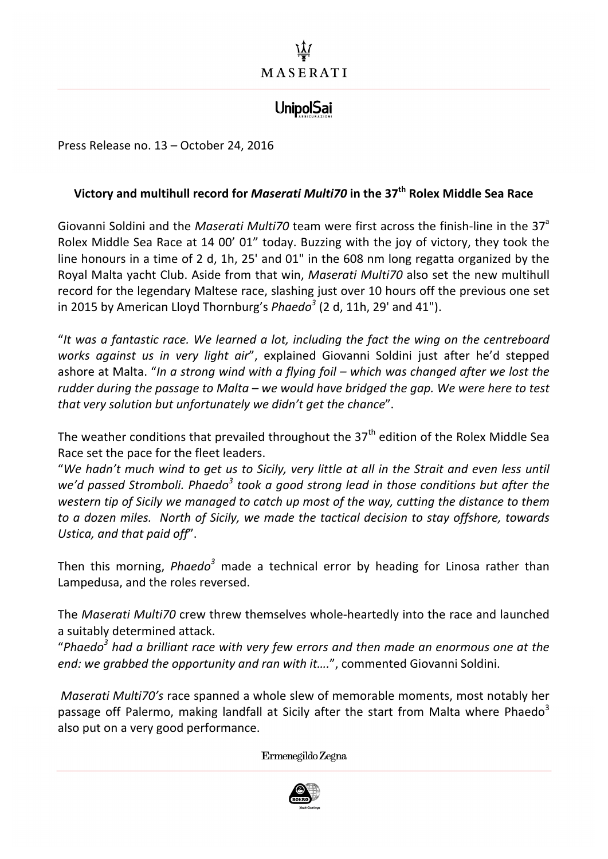## **UnipolSai**

Press Release no. 13 - October 24, 2016

## **Victory and multihull record for** *Maserati Multi70* **in the 37<sup>th</sup> Rolex Middle Sea Race**

Giovanni Soldini and the *Maserati Multi70* team were first across the finish-line in the 37<sup>a</sup> Rolex Middle Sea Race at 14 00' 01" today. Buzzing with the joy of victory, they took the line honours in a time of 2 d, 1h, 25' and 01" in the 608 nm long regatta organized by the Royal Malta yacht Club. Aside from that win, *Maserati Multi70* also set the new multihull record for the legendary Maltese race, slashing just over 10 hours off the previous one set in 2015 by American Lloyd Thornburg's *Phaedo*<sup>3</sup> (2 d, 11h, 29' and 41").

"It was a fantastic race. We learned a lot, including the fact the wing on the centreboard works against us in very light air", explained Giovanni Soldini just after he'd stepped ashore at Malta. "In a strong wind with a flying foil – which was changed after we lost the rudder during the passage to Malta – we would have bridged the gap. We were here to test *that very solution but unfortunately we didn't get the chance"*.

The weather conditions that prevailed throughout the  $37<sup>th</sup>$  edition of the Rolex Middle Sea Race set the pace for the fleet leaders.

"We hadn't much wind to get us to Sicily, very little at all in the Strait and even less until *we'd* passed Stromboli. Phaedo<sup>3</sup> took a good strong lead in those conditions but after the *western tip of Sicily we managed to catch up most of the way, cutting the distance to them to a dozen miles.* North of Sicily, we made the tactical decision to stay offshore, towards Ustica, and that paid off".

Then this morning, *Phaedo<sup>3</sup>* made a technical error by heading for Linosa rather than Lampedusa, and the roles reversed.

The *Maserati Multi70* crew threw themselves whole-heartedly into the race and launched a suitably determined attack.

"Phaedo<sup>3</sup> had a brilliant race with very few errors and then made an enormous one at the *end:* we grabbed the opportunity and ran with it....", commented Giovanni Soldini.

*Maserati Multi70's* race spanned a whole slew of memorable moments, most notably her passage off Palermo, making landfall at Sicily after the start from Malta where Phaedo<sup>3</sup> also put on a very good performance.

Ermenegildo Zegna